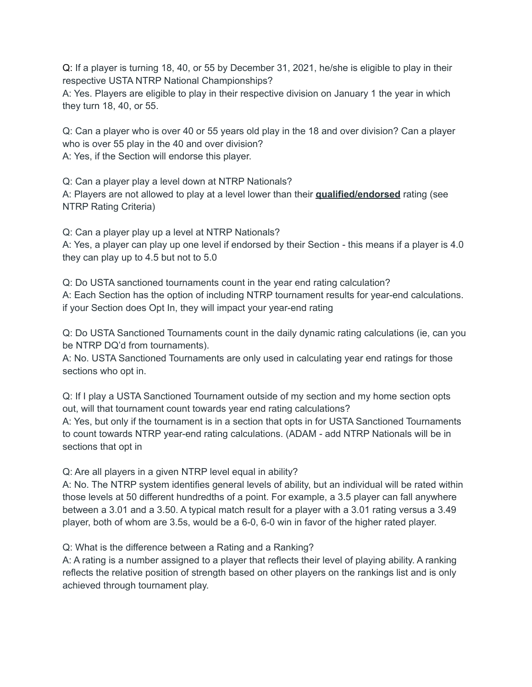Q: If a player is turning 18, 40, or 55 by December 31, 2021, he/she is eligible to play in their respective USTA NTRP National Championships?

A: Yes. Players are eligible to play in their respective division on January 1 the year in which they turn 18, 40, or 55.

Q: Can a player who is over 40 or 55 years old play in the 18 and over division? Can a player who is over 55 play in the 40 and over division?

A: Yes, if the Section will endorse this player.

Q: Can a player play a level down at NTRP Nationals? A: Players are not allowed to play at a level lower than their **qualified/endorsed** rating (see NTRP Rating Criteria)

Q: Can a player play up a level at NTRP Nationals? A: Yes, a player can play up one level if endorsed by their Section - this means if a player is 4.0 they can play up to 4.5 but not to 5.0

Q: Do USTA sanctioned tournaments count in the year end rating calculation? A: Each Section has the option of including NTRP tournament results for year-end calculations. if your Section does Opt In, they will impact your year-end rating

Q: Do USTA Sanctioned Tournaments count in the daily dynamic rating calculations (ie, can you be NTRP DQ'd from tournaments).

A: No. USTA Sanctioned Tournaments are only used in calculating year end ratings for those sections who opt in.

Q: If I play a USTA Sanctioned Tournament outside of my section and my home section opts out, will that tournament count towards year end rating calculations?

A: Yes, but only if the tournament is in a section that opts in for USTA Sanctioned Tournaments to count towards NTRP year-end rating calculations. (ADAM - add NTRP Nationals will be in sections that opt in

Q: Are all players in a given NTRP level equal in ability?

A: No. The NTRP system identifies general levels of ability, but an individual will be rated within those levels at 50 different hundredths of a point. For example, a 3.5 player can fall anywhere between a 3.01 and a 3.50. A typical match result for a player with a 3.01 rating versus a 3.49 player, both of whom are 3.5s, would be a 6-0, 6-0 win in favor of the higher rated player.

Q: What is the difference between a Rating and a Ranking?

A: A rating is a number assigned to a player that reflects their level of playing ability. A ranking reflects the relative position of strength based on other players on the rankings list and is only achieved through tournament play.